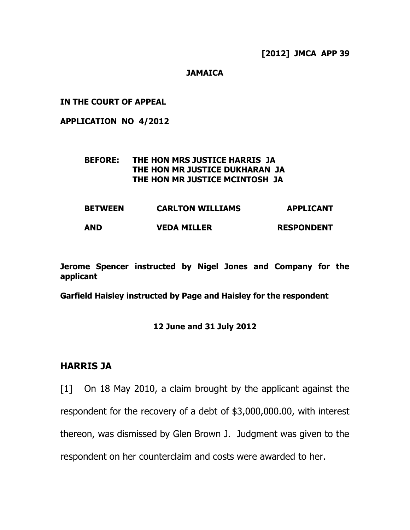#### **JAMAICA**

#### **IN THE COURT OF APPEAL**

#### **APPLICATION NO 4/2012**

#### **BEFORE: THE HON MRS JUSTICE HARRIS JA THE HON MR JUSTICE DUKHARAN JA THE HON MR JUSTICE MCINTOSH JA**

| <b>BETWEEN</b> | <b>CARLTON WILLIAMS</b> | <b>APPLICANT</b>  |  |
|----------------|-------------------------|-------------------|--|
| <b>AND</b>     | <b>VEDA MILLER</b>      | <b>RESPONDENT</b> |  |

**Jerome Spencer instructed by Nigel Jones and Company for the applicant**

**Garfield Haisley instructed by Page and Haisley for the respondent**

#### **12 June and 31 July 2012**

### **HARRIS JA**

[1] On 18 May 2010, a claim brought by the applicant against the respondent for the recovery of a debt of \$3,000,000.00, with interest thereon, was dismissed by Glen Brown J. Judgment was given to the respondent on her counterclaim and costs were awarded to her.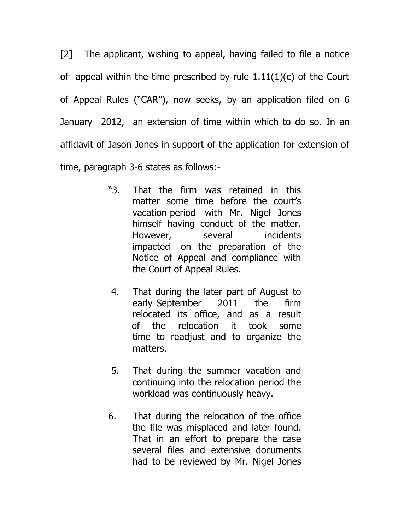[2] The applicant, wishing to appeal, having failed to file a notice of appeal within the time prescribed by rule  $1.11(1)(c)$  of the Court of Appeal Rules ("CAR"), now seeks, by an application filed on 6 January 2012, an extension of time within which to do so. In an affidavit of Jason Jones in support of the application for extension of time, paragraph 3-6 states as follows:-

- "3. That the firm was retained in this matter some time before the court's vacation period with Mr. Nigel Jones himself having conduct of the matter. However, several incidents impacted on the preparation of the Notice of Appeal and compliance with the Court of Appeal Rules.
- 4. That during the later part of August to early September 2011 the firm relocated its office, and as a result of the relocation it took some time to readjust and to organize the matters.
- 5. That during the summer vacation and continuing into the relocation period the workload was continuously heavy.
- 6. That during the relocation of the office the file was misplaced and later found. That in an effort to prepare the case several files and extensive documents had to be reviewed by Mr. Nigel Jones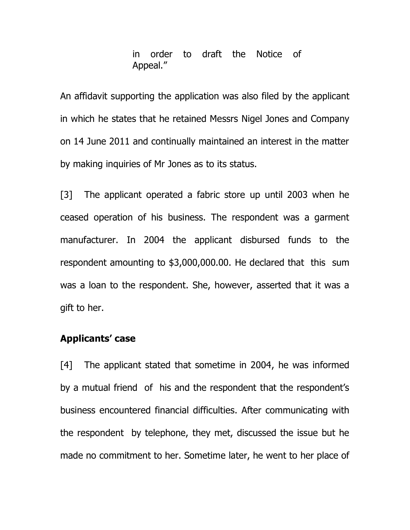in order to draft the Notice of Appeal."

An affidavit supporting the application was also filed by the applicant in which he states that he retained Messrs Nigel Jones and Company on 14 June 2011 and continually maintained an interest in the matter by making inquiries of Mr Jones as to its status.

[3] The applicant operated a fabric store up until 2003 when he ceased operation of his business. The respondent was a garment manufacturer. In 2004 the applicant disbursed funds to the respondent amounting to \$3,000,000.00. He declared that this sum was a loan to the respondent. She, however, asserted that it was a gift to her.

### **Applicants' case**

[4] The applicant stated that sometime in 2004, he was informed by a mutual friend of his and the respondent that the respondent's business encountered financial difficulties. After communicating with the respondent by telephone, they met, discussed the issue but he made no commitment to her. Sometime later, he went to her place of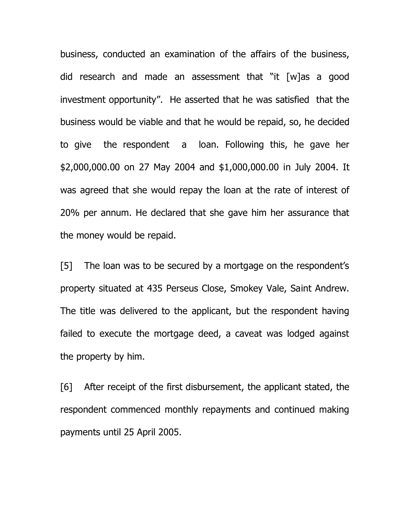business, conducted an examination of the affairs of the business, did research and made an assessment that "it [w]as a good investment opportunity". He asserted that he was satisfied that the business would be viable and that he would be repaid, so, he decided to give the respondent a loan. Following this, he gave her \$2,000,000.00 on 27 May 2004 and \$1,000,000.00 in July 2004. It was agreed that she would repay the loan at the rate of interest of 20% per annum. He declared that she gave him her assurance that the money would be repaid.

[5] The loan was to be secured by a mortgage on the respondent's property situated at 435 Perseus Close, Smokey Vale, Saint Andrew. The title was delivered to the applicant, but the respondent having failed to execute the mortgage deed, a caveat was lodged against the property by him.

[6] After receipt of the first disbursement, the applicant stated, the respondent commenced monthly repayments and continued making payments until 25 April 2005.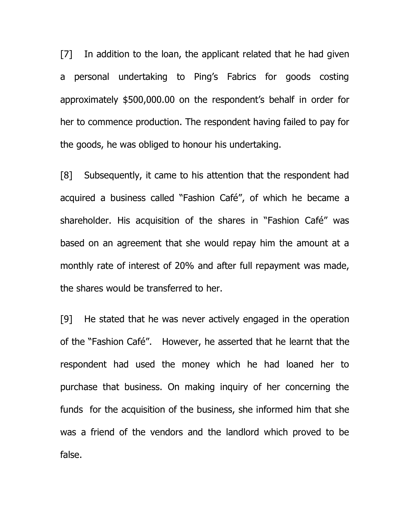[7] In addition to the loan, the applicant related that he had given a personal undertaking to Ping's Fabrics for goods costing approximately \$500,000.00 on the respondent's behalf in order for her to commence production. The respondent having failed to pay for the goods, he was obliged to honour his undertaking.

[8] Subsequently, it came to his attention that the respondent had acquired a business called "Fashion Café", of which he became a shareholder. His acquisition of the shares in "Fashion Café" was based on an agreement that she would repay him the amount at a monthly rate of interest of 20% and after full repayment was made, the shares would be transferred to her.

[9] He stated that he was never actively engaged in the operation of the "Fashion Café". However, he asserted that he learnt that the respondent had used the money which he had loaned her to purchase that business. On making inquiry of her concerning the funds for the acquisition of the business, she informed him that she was a friend of the vendors and the landlord which proved to be false.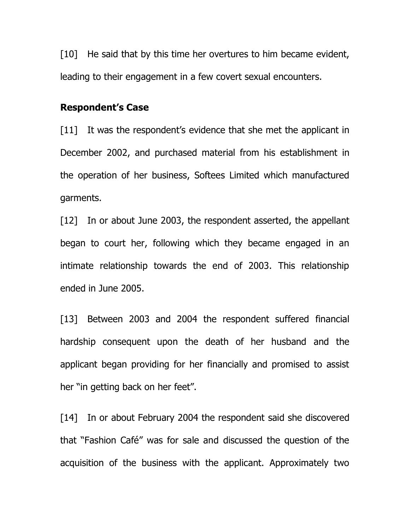[10] He said that by this time her overtures to him became evident, leading to their engagement in a few covert sexual encounters.

### **Respondent's Case**

[11] It was the respondent's evidence that she met the applicant in December 2002, and purchased material from his establishment in the operation of her business, Softees Limited which manufactured garments.

[12] In or about June 2003, the respondent asserted, the appellant began to court her, following which they became engaged in an intimate relationship towards the end of 2003. This relationship ended in June 2005.

[13] Between 2003 and 2004 the respondent suffered financial hardship consequent upon the death of her husband and the applicant began providing for her financially and promised to assist her "in getting back on her feet".

[14] In or about February 2004 the respondent said she discovered that "Fashion Café" was for sale and discussed the question of the acquisition of the business with the applicant. Approximately two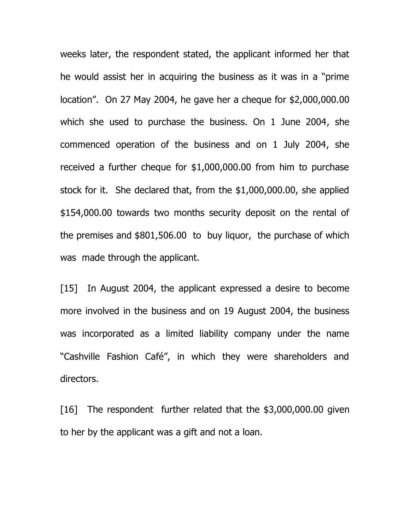weeks later, the respondent stated, the applicant informed her that he would assist her in acquiring the business as it was in a "prime location". On 27 May 2004, he gave her a cheque for \$2,000,000.00 which she used to purchase the business. On 1 June 2004, she commenced operation of the business and on 1 July 2004, she received a further cheque for \$1,000,000.00 from him to purchase stock for it. She declared that, from the \$1,000,000.00, she applied \$154,000.00 towards two months security deposit on the rental of the premises and \$801,506.00 to buy liquor, the purchase of which was made through the applicant.

[15] In August 2004, the applicant expressed a desire to become more involved in the business and on 19 August 2004, the business was incorporated as a limited liability company under the name "Cashville Fashion Café", in which they were shareholders and directors.

[16] The respondent further related that the \$3,000,000.00 given to her by the applicant was a gift and not a loan.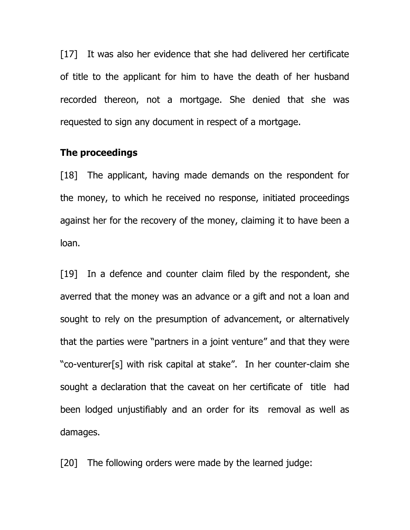[17] It was also her evidence that she had delivered her certificate of title to the applicant for him to have the death of her husband recorded thereon, not a mortgage. She denied that she was requested to sign any document in respect of a mortgage.

### **The proceedings**

[18] The applicant, having made demands on the respondent for the money, to which he received no response, initiated proceedings against her for the recovery of the money, claiming it to have been a loan.

[19] In a defence and counter claim filed by the respondent, she averred that the money was an advance or a gift and not a loan and sought to rely on the presumption of advancement, or alternatively that the parties were "partners in a joint venture" and that they were "co-venturer[s] with risk capital at stake". In her counter-claim she sought a declaration that the caveat on her certificate of title had been lodged unjustifiably and an order for its removal as well as damages.

[20] The following orders were made by the learned judge: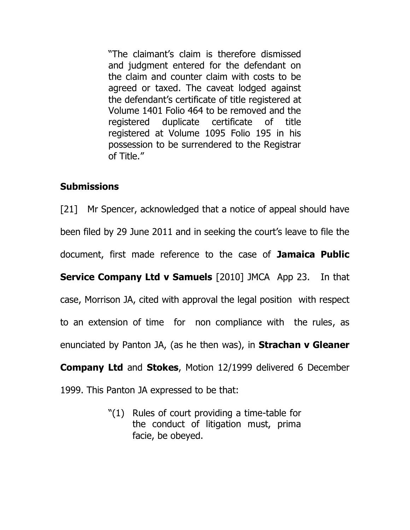"The claimant's claim is therefore dismissed and judgment entered for the defendant on the claim and counter claim with costs to be agreed or taxed. The caveat lodged against the defendant's certificate of title registered at Volume 1401 Folio 464 to be removed and the registered duplicate certificate of title registered at Volume 1095 Folio 195 in his possession to be surrendered to the Registrar of Title."

# **Submissions**

[21] Mr Spencer, acknowledged that a notice of appeal should have been filed by 29 June 2011 and in seeking the court's leave to file the document, first made reference to the case of **Jamaica Public Service Company Ltd v Samuels** [2010] JMCA App 23. In that case, Morrison JA, cited with approval the legal position with respect to an extension of time for non compliance with the rules, as enunciated by Panton JA, (as he then was), in **Strachan v Gleaner Company Ltd** and **Stokes**, Motion 12/1999 delivered 6 December 1999. This Panton JA expressed to be that:

> "(1) Rules of court providing a time-table for the conduct of litigation must, prima facie, be obeyed.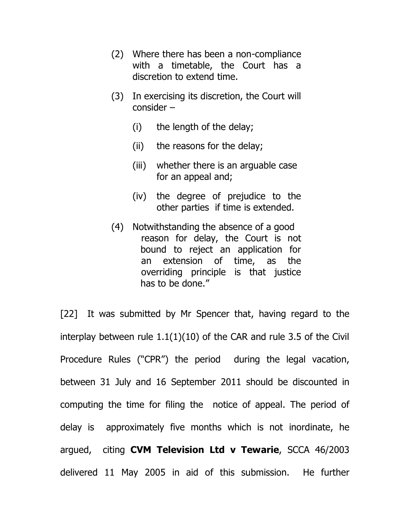- (2) Where there has been a non-compliance with a timetable, the Court has a discretion to extend time.
- (3) In exercising its discretion, the Court will consider –
	- (i) the length of the delay;
	- (ii) the reasons for the delay;
	- (iii) whether there is an arguable case for an appeal and;
	- (iv) the degree of prejudice to the other parties if time is extended.
- (4) Notwithstanding the absence of a good reason for delay, the Court is not bound to reject an application for an extension of time, as the overriding principle is that justice has to be done."

[22] It was submitted by Mr Spencer that, having regard to the interplay between rule 1.1(1)(10) of the CAR and rule 3.5 of the Civil Procedure Rules ("CPR") the period during the legal vacation, between 31 July and 16 September 2011 should be discounted in computing the time for filing the notice of appeal. The period of delay is approximately five months which is not inordinate, he argued, citing **CVM Television Ltd v Tewarie**, SCCA 46/2003 delivered 11 May 2005 in aid of this submission. He further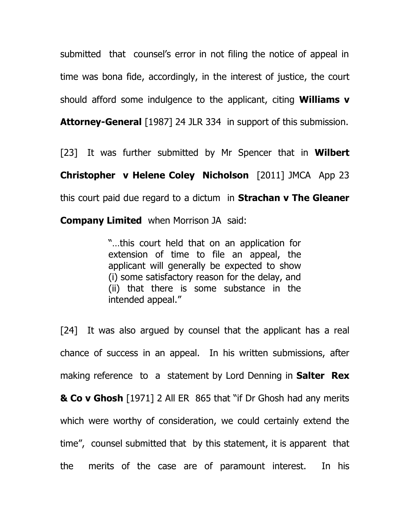submitted that counsel's error in not filing the notice of appeal in time was bona fide, accordingly, in the interest of justice, the court should afford some indulgence to the applicant, citing **Williams v** 

**Attorney-General** [1987] 24 JLR 334 in support of this submission.

[23] It was further submitted by Mr Spencer that in **Wilbert Christopher v Helene Coley Nicholson** [2011] JMCA App 23 this court paid due regard to a dictum in **Strachan v The Gleaner** 

**Company Limited** when Morrison JA said:

"…this court held that on an application for extension of time to file an appeal, the applicant will generally be expected to show (i) some satisfactory reason for the delay, and (ii) that there is some substance in the intended appeal."

[24] It was also argued by counsel that the applicant has a real chance of success in an appeal. In his written submissions, after making reference to a statement by Lord Denning in **Salter Rex & Co v Ghosh** [1971] 2 All ER 865 that "if Dr Ghosh had any merits which were worthy of consideration, we could certainly extend the time", counsel submitted that by this statement, it is apparent that the merits of the case are of paramount interest. In his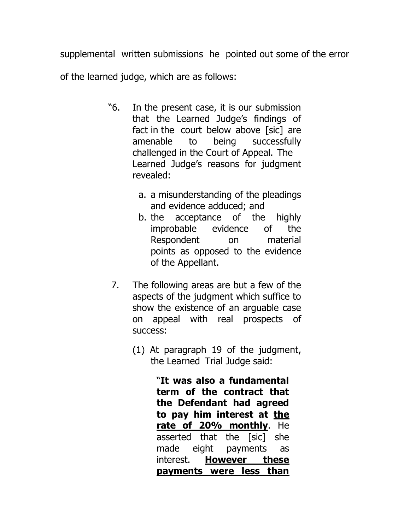supplemental written submissions he pointed out some of the error

of the learned judge, which are as follows:

- "6. In the present case, it is our submission that the Learned Judge's findings of fact in the court below above [sic] are amenable to being successfully challenged in the Court of Appeal. The Learned Judge's reasons for judgment revealed:
	- a. a misunderstanding of the pleadings and evidence adduced; and
	- b. the acceptance of the highly improbable evidence of the Respondent on material points as opposed to the evidence of the Appellant.
- 7. The following areas are but a few of the aspects of the judgment which suffice to show the existence of an arguable case on appeal with real prospects of success:
	- (1) At paragraph 19 of the judgment, the Learned Trial Judge said:

"**It was also a fundamental term of the contract that the Defendant had agreed to pay him interest at the rate of 20% monthly**. He asserted that the [sic] she made eight payments as interest. **However these payments were less than**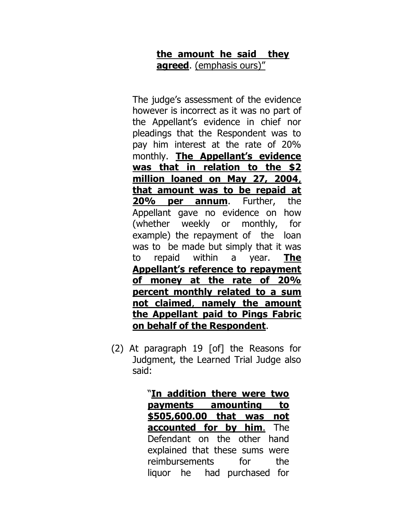# **the amount he said they agreed**. (emphasis ours)"

The judge's assessment of the evidence however is incorrect as it was no part of the Appellant's evidence in chief nor pleadings that the Respondent was to pay him interest at the rate of 20% monthly. **The Appellant's evidence was that in relation to the \$2 million loaned on May 27, 2004**, **that amount was to be repaid at 20% per annum**. Further, the Appellant gave no evidence on how (whether weekly or monthly, for example) the repayment of the loan was to be made but simply that it was to repaid within a year. **The Appellant's reference to repayment of money at the rate of 20% percent monthly related to a sum not claimed**, **namely the amount the Appellant paid to Pings Fabric on behalf of the Respondent**.

(2) At paragraph 19 [of] the Reasons for Judgment, the Learned Trial Judge also said:

> "**In addition there were two payments amounting to \$505,600.00 that was not accounted for by him**. The Defendant on the other hand explained that these sums were reimbursements for the liquor he had purchased for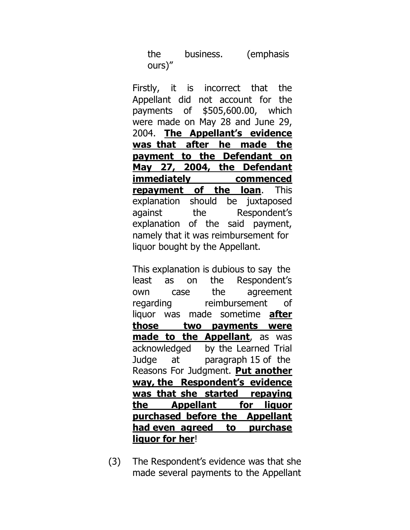the business. (emphasis ours)"

Firstly, it is incorrect that the Appellant did not account for the payments of \$505,600.00, which were made on May 28 and June 29, 2004. **The Appellant's evidence was that after he made the payment to the Defendant on May 27, 2004, the Defendant immediately commenced repayment of the loan**. This explanation should be juxtaposed against the Respondent's explanation of the said payment, namely that it was reimbursement for liquor bought by the Appellant.

This explanation is dubious to say the least as on the Respondent's own case the agreement regarding reimbursement of liquor was made sometime **after those two payments were made to the Appellant**, as was acknowledged by the Learned Trial Judge at paragraph 15 of the Reasons For Judgment. **Put another way, the Respondent's evidence was that she started repaying the Appellant for liquor purchased before the Appellant had even agreed to purchase liquor for her**!

(3) The Respondent's evidence was that she made several payments to the Appellant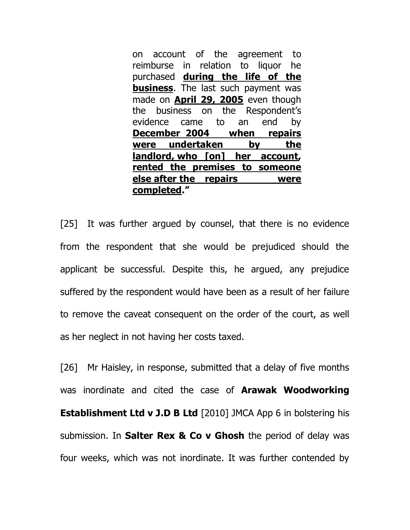on account of the agreement to reimburse in relation to liquor he purchased **during the life of the business**. The last such payment was made on **April 29, 2005** even though the business on the Respondent's evidence came to an end by **December 2004 when repairs were undertaken by the landlord, who [on] her account, rented the premises to someone else after the repairs were completed."** 

[25] It was further argued by counsel, that there is no evidence from the respondent that she would be prejudiced should the applicant be successful. Despite this, he argued, any prejudice suffered by the respondent would have been as a result of her failure to remove the caveat consequent on the order of the court, as well as her neglect in not having her costs taxed.

[26] Mr Haisley, in response, submitted that a delay of five months was inordinate and cited the case of **Arawak Woodworking Establishment Ltd v J.D B Ltd** [2010] JMCA App 6 in bolstering his submission. In **Salter Rex & Co v Ghosh** the period of delay was four weeks, which was not inordinate. It was further contended by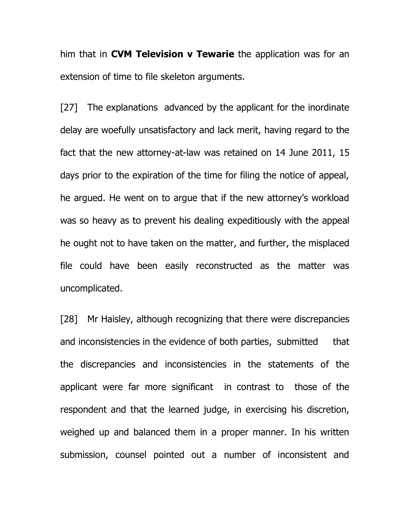him that in **CVM Television v Tewarie** the application was for an extension of time to file skeleton arguments.

[27] The explanations advanced by the applicant for the inordinate delay are woefully unsatisfactory and lack merit, having regard to the fact that the new attorney-at-law was retained on 14 June 2011, 15 days prior to the expiration of the time for filing the notice of appeal, he argued. He went on to argue that if the new attorney's workload was so heavy as to prevent his dealing expeditiously with the appeal he ought not to have taken on the matter, and further, the misplaced file could have been easily reconstructed as the matter was uncomplicated.

[28] Mr Haisley, although recognizing that there were discrepancies and inconsistencies in the evidence of both parties, submitted that the discrepancies and inconsistencies in the statements of the applicant were far more significant in contrast to those of the respondent and that the learned judge, in exercising his discretion, weighed up and balanced them in a proper manner. In his written submission, counsel pointed out a number of inconsistent and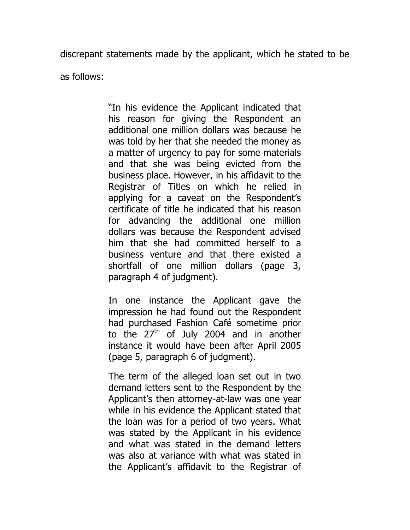discrepant statements made by the applicant, which he stated to be

as follows:

"In his evidence the Applicant indicated that his reason for giving the Respondent an additional one million dollars was because he was told by her that she needed the money as a matter of urgency to pay for some materials and that she was being evicted from the business place. However, in his affidavit to the Registrar of Titles on which he relied in applying for a caveat on the Respondent's certificate of title he indicated that his reason for advancing the additional one million dollars was because the Respondent advised him that she had committed herself to a business venture and that there existed a shortfall of one million dollars (page 3, paragraph 4 of judgment).

In one instance the Applicant gave the impression he had found out the Respondent had purchased Fashion Café sometime prior to the  $27<sup>th</sup>$  of July 2004 and in another instance it would have been after April 2005 (page 5, paragraph 6 of judgment).

The term of the alleged loan set out in two demand letters sent to the Respondent by the Applicant's then attorney-at-law was one year while in his evidence the Applicant stated that the loan was for a period of two years. What was stated by the Applicant in his evidence and what was stated in the demand letters was also at variance with what was stated in the Applicant's affidavit to the Registrar of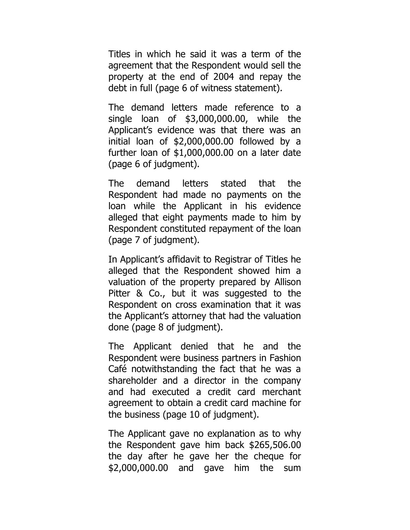Titles in which he said it was a term of the agreement that the Respondent would sell the property at the end of 2004 and repay the debt in full (page 6 of witness statement).

The demand letters made reference to a single loan of \$3,000,000.00, while the Applicant's evidence was that there was an initial loan of \$2,000,000.00 followed by a further loan of \$1,000,000.00 on a later date (page 6 of judgment).

The demand letters stated that the Respondent had made no payments on the loan while the Applicant in his evidence alleged that eight payments made to him by Respondent constituted repayment of the loan (page 7 of judgment).

In Applicant's affidavit to Registrar of Titles he alleged that the Respondent showed him a valuation of the property prepared by Allison Pitter & Co., but it was suggested to the Respondent on cross examination that it was the Applicant's attorney that had the valuation done (page 8 of judgment).

The Applicant denied that he and the Respondent were business partners in Fashion Café notwithstanding the fact that he was a shareholder and a director in the company and had executed a credit card merchant agreement to obtain a credit card machine for the business (page 10 of judgment).

The Applicant gave no explanation as to why the Respondent gave him back \$265,506.00 the day after he gave her the cheque for \$2,000,000.00 and gave him the sum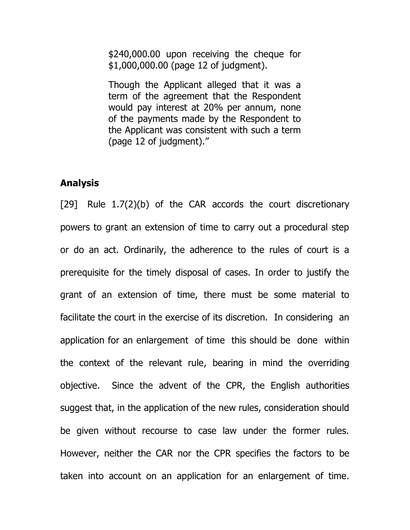\$240,000.00 upon receiving the cheque for \$1,000,000.00 (page 12 of judgment).

Though the Applicant alleged that it was a term of the agreement that the Respondent would pay interest at 20% per annum, none of the payments made by the Respondent to the Applicant was consistent with such a term (page 12 of judgment)."

## **Analysis**

[29] Rule 1.7(2)(b) of the CAR accords the court discretionary powers to grant an extension of time to carry out a procedural step or do an act. Ordinarily, the adherence to the rules of court is a prerequisite for the timely disposal of cases. In order to justify the grant of an extension of time, there must be some material to facilitate the court in the exercise of its discretion. In considering an application for an enlargement of time this should be done within the context of the relevant rule, bearing in mind the overriding objective. Since the advent of the CPR, the English authorities suggest that, in the application of the new rules, consideration should be given without recourse to case law under the former rules. However, neither the CAR nor the CPR specifies the factors to be taken into account on an application for an enlargement of time.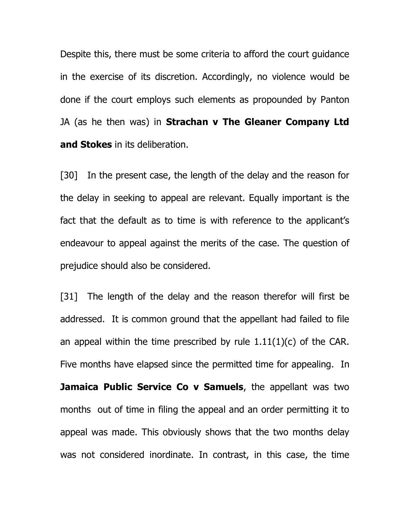Despite this, there must be some criteria to afford the court guidance in the exercise of its discretion. Accordingly, no violence would be done if the court employs such elements as propounded by Panton JA (as he then was) in **Strachan v The Gleaner Company Ltd and Stokes** in its deliberation.

[30] In the present case, the length of the delay and the reason for the delay in seeking to appeal are relevant. Equally important is the fact that the default as to time is with reference to the applicant's endeavour to appeal against the merits of the case. The question of prejudice should also be considered.

[31] The length of the delay and the reason therefor will first be addressed. It is common ground that the appellant had failed to file an appeal within the time prescribed by rule  $1.11(1)(c)$  of the CAR. Five months have elapsed since the permitted time for appealing. In **Jamaica Public Service Co v Samuels**, the appellant was two months out of time in filing the appeal and an order permitting it to appeal was made. This obviously shows that the two months delay was not considered inordinate. In contrast, in this case, the time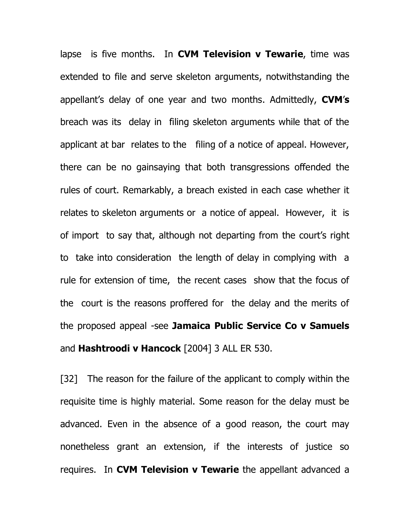lapse is five months. In **CVM Television v Tewarie**, time was extended to file and serve skeleton arguments, notwithstanding the appellant's delay of one year and two months. Admittedly, **CVM**'**s** breach was its delay in filing skeleton arguments while that of the applicant at bar relates to the filing of a notice of appeal. However, there can be no gainsaying that both transgressions offended the rules of court. Remarkably, a breach existed in each case whether it relates to skeleton arguments or a notice of appeal. However, it is of import to say that, although not departing from the court's right to take into consideration the length of delay in complying with a rule for extension of time, the recent cases show that the focus of the court is the reasons proffered for the delay and the merits of the proposed appeal -see **Jamaica Public Service Co v Samuels** and **Hashtroodi v Hancock** [2004] 3 ALL ER 530.

[32] The reason for the failure of the applicant to comply within the requisite time is highly material. Some reason for the delay must be advanced. Even in the absence of a good reason, the court may nonetheless grant an extension, if the interests of justice so requires. In **CVM Television v Tewarie** the appellant advanced a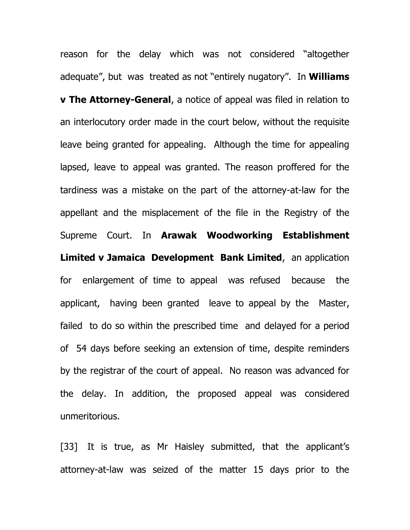reason for the delay which was not considered "altogether adequate", but was treated as not "entirely nugatory". In **Williams v The Attorney-General**, a notice of appeal was filed in relation to an interlocutory order made in the court below, without the requisite leave being granted for appealing. Although the time for appealing lapsed, leave to appeal was granted. The reason proffered for the tardiness was a mistake on the part of the attorney-at-law for the appellant and the misplacement of the file in the Registry of the Supreme Court. In **Arawak Woodworking Establishment Limited v Jamaica Development Bank Limited**, an application for enlargement of time to appeal was refused because the applicant, having been granted leave to appeal by the Master, failed to do so within the prescribed time and delayed for a period of 54 days before seeking an extension of time, despite reminders by the registrar of the court of appeal. No reason was advanced for the delay. In addition, the proposed appeal was considered unmeritorious.

[33] It is true, as Mr Haisley submitted, that the applicant's attorney-at-law was seized of the matter 15 days prior to the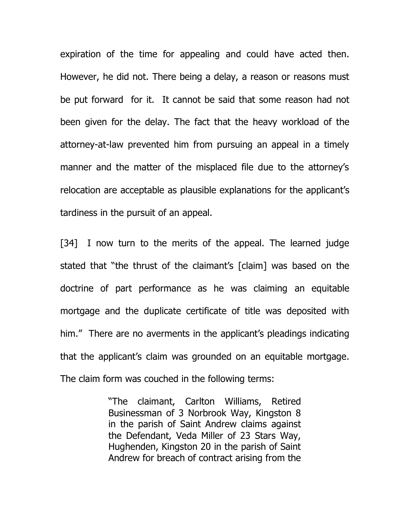expiration of the time for appealing and could have acted then. However, he did not. There being a delay, a reason or reasons must be put forward for it. It cannot be said that some reason had not been given for the delay. The fact that the heavy workload of the attorney-at-law prevented him from pursuing an appeal in a timely manner and the matter of the misplaced file due to the attorney's relocation are acceptable as plausible explanations for the applicant's tardiness in the pursuit of an appeal.

[34] I now turn to the merits of the appeal. The learned judge stated that "the thrust of the claimant's [claim] was based on the doctrine of part performance as he was claiming an equitable mortgage and the duplicate certificate of title was deposited with him." There are no averments in the applicant's pleadings indicating that the applicant's claim was grounded on an equitable mortgage. The claim form was couched in the following terms:

> "The claimant, Carlton Williams, Retired Businessman of 3 Norbrook Way, Kingston 8 in the parish of Saint Andrew claims against the Defendant, Veda Miller of 23 Stars Way, Hughenden, Kingston 20 in the parish of Saint Andrew for breach of contract arising from the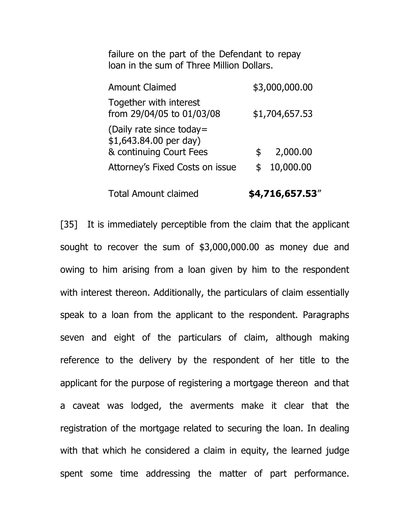failure on the part of the Defendant to repay loan in the sum of Three Million Dollars.

| <b>Amount Claimed</b>                                                          |     | \$3,000,000.00 |
|--------------------------------------------------------------------------------|-----|----------------|
| Together with interest<br>from 29/04/05 to 01/03/08                            |     | \$1,704,657.53 |
| (Daily rate since today =<br>\$1,643.84.00 per day)<br>& continuing Court Fees | \$. | 2,000.00       |
| Attorney's Fixed Costs on issue                                                | \$  | 10,000.00      |
|                                                                                |     |                |

Total Amount claimed **\$4,716,657.53**"

[35] It is immediately perceptible from the claim that the applicant sought to recover the sum of \$3,000,000.00 as money due and owing to him arising from a loan given by him to the respondent with interest thereon. Additionally, the particulars of claim essentially speak to a loan from the applicant to the respondent. Paragraphs seven and eight of the particulars of claim, although making reference to the delivery by the respondent of her title to the applicant for the purpose of registering a mortgage thereon and that a caveat was lodged, the averments make it clear that the registration of the mortgage related to securing the loan. In dealing with that which he considered a claim in equity, the learned judge spent some time addressing the matter of part performance.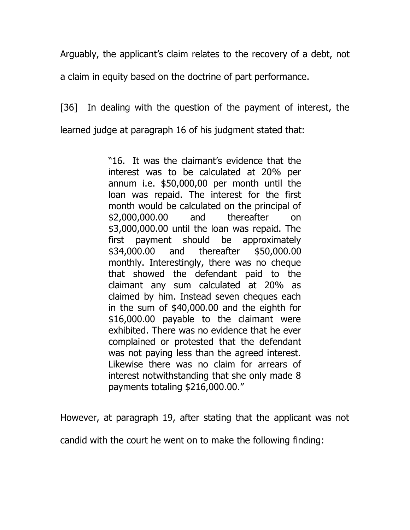Arguably, the applicant's claim relates to the recovery of a debt, not

a claim in equity based on the doctrine of part performance.

[36] In dealing with the question of the payment of interest, the learned judge at paragraph 16 of his judgment stated that:

> "16. It was the claimant's evidence that the interest was to be calculated at 20% per annum i.e. \$50,000,00 per month until the loan was repaid. The interest for the first month would be calculated on the principal of \$2,000,000.00 and thereafter on \$3,000,000.00 until the loan was repaid. The first payment should be approximately \$34,000.00 and thereafter \$50,000.00 monthly. Interestingly, there was no cheque that showed the defendant paid to the claimant any sum calculated at 20% as claimed by him. Instead seven cheques each in the sum of \$40,000.00 and the eighth for \$16,000.00 payable to the claimant were exhibited. There was no evidence that he ever complained or protested that the defendant was not paying less than the agreed interest. Likewise there was no claim for arrears of interest notwithstanding that she only made 8 payments totaling \$216,000.00."

However, at paragraph 19, after stating that the applicant was not

candid with the court he went on to make the following finding: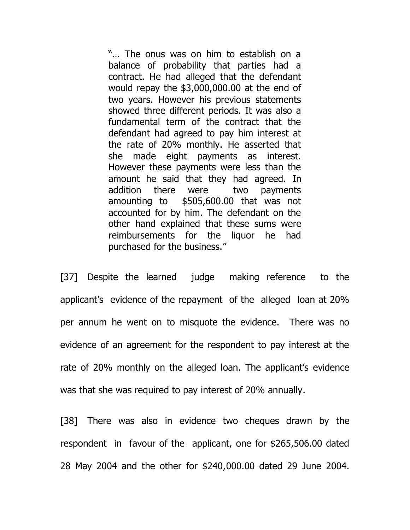"… The onus was on him to establish on a balance of probability that parties had a contract. He had alleged that the defendant would repay the \$3,000,000.00 at the end of two years. However his previous statements showed three different periods. It was also a fundamental term of the contract that the defendant had agreed to pay him interest at the rate of 20% monthly. He asserted that she made eight payments as interest. However these payments were less than the amount he said that they had agreed. In addition there were two payments amounting to \$505,600.00 that was not accounted for by him. The defendant on the other hand explained that these sums were reimbursements for the liquor he had purchased for the business."

[37] Despite the learned judge making reference to the applicant's evidence of the repayment of the alleged loan at 20% per annum he went on to misquote the evidence. There was no evidence of an agreement for the respondent to pay interest at the rate of 20% monthly on the alleged loan. The applicant's evidence was that she was required to pay interest of 20% annually.

[38] There was also in evidence two cheques drawn by the respondent in favour of the applicant, one for \$265,506.00 dated 28 May 2004 and the other for \$240,000.00 dated 29 June 2004.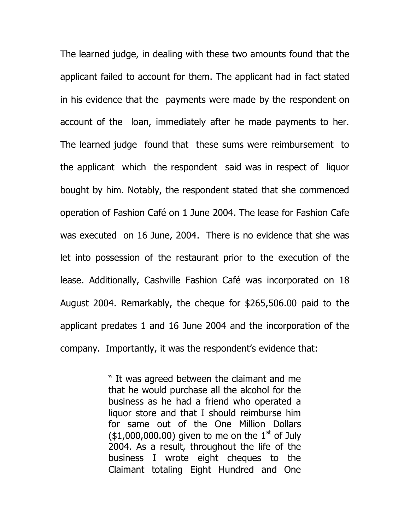The learned judge, in dealing with these two amounts found that the applicant failed to account for them. The applicant had in fact stated in his evidence that the payments were made by the respondent on account of the loan, immediately after he made payments to her. The learned judge found that these sums were reimbursement to the applicant which the respondent said was in respect of liquor bought by him. Notably, the respondent stated that she commenced operation of Fashion Café on 1 June 2004. The lease for Fashion Cafe was executed on 16 June, 2004. There is no evidence that she was let into possession of the restaurant prior to the execution of the lease. Additionally, Cashville Fashion Café was incorporated on 18 August 2004. Remarkably, the cheque for \$265,506.00 paid to the applicant predates 1 and 16 June 2004 and the incorporation of the company. Importantly, it was the respondent's evidence that:

> " It was agreed between the claimant and me that he would purchase all the alcohol for the business as he had a friend who operated a liquor store and that I should reimburse him for same out of the One Million Dollars  $($1,000,000.00)$  given to me on the  $1<sup>st</sup>$  of July 2004. As a result, throughout the life of the business I wrote eight cheques to the Claimant totaling Eight Hundred and One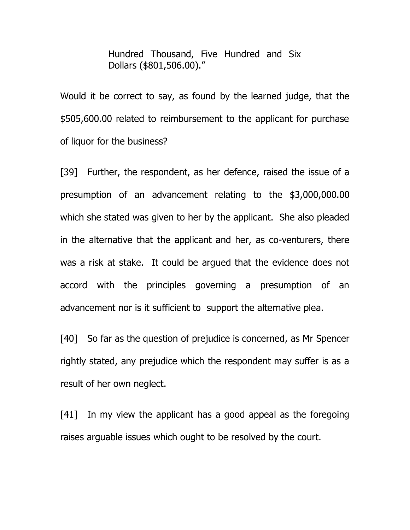Hundred Thousand, Five Hundred and Six Dollars (\$801,506.00)."

Would it be correct to say, as found by the learned judge, that the \$505,600.00 related to reimbursement to the applicant for purchase of liquor for the business?

[39] Further, the respondent, as her defence, raised the issue of a presumption of an advancement relating to the \$3,000,000.00 which she stated was given to her by the applicant. She also pleaded in the alternative that the applicant and her, as co-venturers, there was a risk at stake. It could be argued that the evidence does not accord with the principles governing a presumption of an advancement nor is it sufficient to support the alternative plea.

[40] So far as the question of prejudice is concerned, as Mr Spencer rightly stated, any prejudice which the respondent may suffer is as a result of her own neglect.

[41] In my view the applicant has a good appeal as the foregoing raises arguable issues which ought to be resolved by the court.